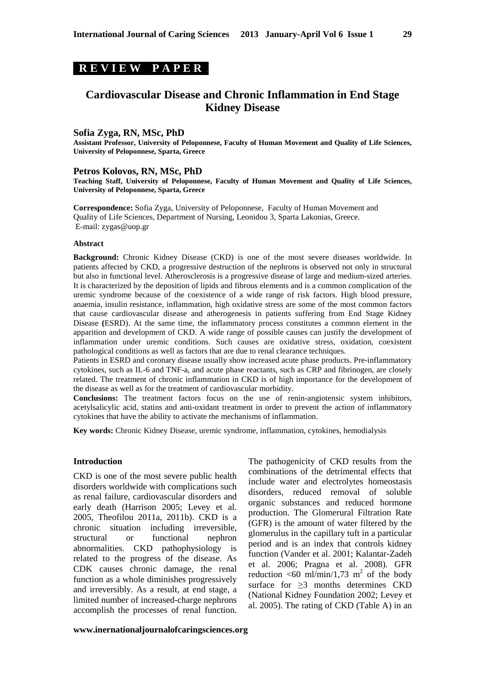# **R E V I E W P A P E R .**

# **Cardiovascular Disease and Chronic Inflammation in End Stage Kidney Disease**

### **Sofia Zyga, RN, MSc, PhD**

**Assistant Professor, University of Peloponnese, Faculty of Human Movement and Quality of Life Sciences, University of Peloponnese, Sparta, Greece** 

#### **Petros Kolovos, RN, MSc, PhD**

**Teaching Staff, University of Peloponnese, Faculty of Human Movement and Quality of Life Sciences, University of Peloponnese, Sparta, Greece** 

**Correspondence:** Sofia Zyga, University of Peloponnese, Faculty of Human Movement and Quality of Life Sciences, Department of Nursing, Leonidou 3, Sparta Lakonias, Greece. E-mail: zygas@uop.gr

#### **Abstract**

**Background:** Chronic Kidney Disease (CKD) is one of the most severe diseases worldwide. In patients affected by CKD, a progressive destruction of the nephrons is observed not only in structural but also in functional level. Atherosclerosis is a progressive disease of large and medium-sized arteries. It is characterized by the deposition of lipids and fibrous elements and is a common complication of the uremic syndrome because of the coexistence of a wide range of risk factors. High blood pressure, anaemia, insulin resistance, inflammation, high oxidative stress are some of the most common factors that cause cardiovascular disease and atherogenesis in patients suffering from End Stage Kidney Disease **(**ESRD). At the same time, the inflammatory process constitutes a common element in the apparition and development of CKD. A wide range of possible causes can justify the development of inflammation under uremic conditions. Such causes are oxidative stress, oxidation, coexistent pathological conditions as well as factors that are due to renal clearance techniques.

Patients in ESRD and coronary disease usually show increased acute phase products. Pre-inflammatory cytokines, such as IL-6 and TNF-a, and acute phase reactants, such as CRP and fibrinogen, are closely related. The treatment of chronic inflammation in CKD is of high importance for the development of the disease as well as for the treatment of cardiovascular morbidity.

**Conclusions:** The treatment factors focus on the use of renin-angiotensic system inhibitors, acetylsalicylic acid, statins and anti-oxidant treatment in order to prevent the action of inflammatory cytokines that have the ability to activate the mechanisms of inflammation.

**Key words:** Chronic Kidney Disease, uremic syndrome, inflammation, cytokines, hemodialysis

#### **Introduction**

CKD is one of the most severe public health disorders worldwide with complications such as renal failure, cardiovascular disorders and early death (Harrison 2005; Levey et al. 2005, Theofilou 2011a, 2011b). CKD is a chronic situation including irreversible, structural or functional nephron abnormalities. CKD pathophysiology is related to the progress of the disease. As CDK causes chronic damage, the renal function as a whole diminishes progressively and irreversibly. As a result, at end stage, a limited number of increased-charge nephrons accomplish the processes of renal function.

The pathogenicity of CKD results from the combinations of the detrimental effects that include water and electrolytes homeostasis disorders, reduced removal of soluble organic substances and reduced hormone production. The Glomerural Filtration Rate (GFR) is the amount of water filtered by the glomerulus in the capillary tuft in a particular period and is an index that controls kidney function (Vander et al. 2001; Kalantar-Zadeh et al. 2006; Pragna et al. 2008). GFR reduction  $\leq 60$  ml/min/1,73 m<sup>2</sup> of the body surface for  $>3$  months determines CKD (National Kidney Foundation 2002; Levey et al. 2005). The rating of CKD (Table A) in an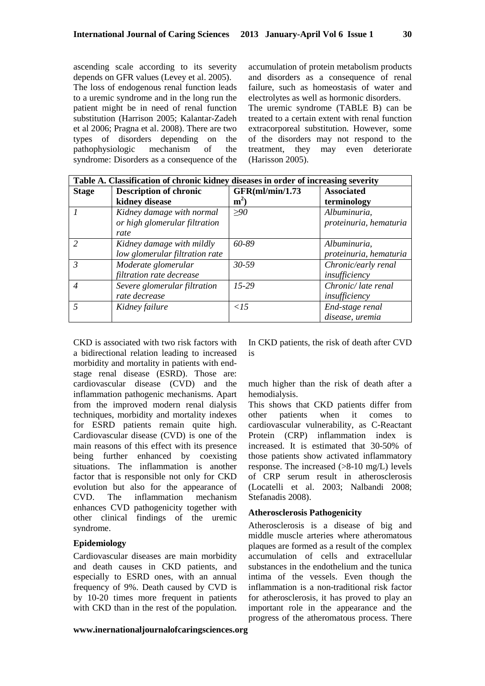ascending scale according to its severity depends on GFR values (Levey et al. 2005).

The loss of endogenous renal function leads to a uremic syndrome and in the long run the patient might be in need of renal function substitution (Harrison 2005; Kalantar-Zadeh et al 2006; Pragna et al. 2008). There are two types of disorders depending on the pathophysiologic mechanism of the syndrome: Disorders as a consequence of the

accumulation of protein metabolism products and disorders as a consequence of renal failure, such as homeostasis of water and electrolytes as well as hormonic disorders. The uremic syndrome (TABLE B) can be treated to a certain extent with renal function extracorporeal substitution. However, some of the disorders may not respond to the treatment, they may even deteriorate (Harisson 2005).

| Table A. Classification of chronic kidney diseases in order of increasing severity |                                                                    |                           |                                        |  |
|------------------------------------------------------------------------------------|--------------------------------------------------------------------|---------------------------|----------------------------------------|--|
| <b>Stage</b>                                                                       | <b>Description of chronic</b><br>kidney disease                    | GFR(ml/min/1.73)<br>$m^2$ | <b>Associated</b><br>terminology       |  |
|                                                                                    | Kidney damage with normal<br>or high glomerular filtration<br>rate | >90                       | Albuminuria,<br>proteinuria, hematuria |  |
| $\mathcal{L}$                                                                      | Kidney damage with mildly<br>low glomerular filtration rate        | 60-89                     | Albuminuria,<br>proteinuria, hematuria |  |
| $\mathfrak{Z}$                                                                     | Moderate glomerular<br>filtration rate decrease                    | $30 - 59$                 | Chronic/early renal<br>insufficiency   |  |
| $\overline{4}$                                                                     | Severe glomerular filtration<br>rate decrease                      | $15-29$                   | Chronic/late renal<br>insufficiency    |  |
|                                                                                    | Kidney failure                                                     | $\langle$ 15              | End-stage renal<br>disease, uremia     |  |

CKD is associated with two risk factors with a bidirectional relation leading to increased morbidity and mortality in patients with endstage renal disease (ESRD). Those are: cardiovascular disease (CVD) and the inflammation pathogenic mechanisms. Apart from the improved modern renal dialysis techniques, morbidity and mortality indexes for ESRD patients remain quite high. Cardiovascular disease (CVD) is one of the main reasons of this effect with its presence being further enhanced by coexisting situations. The inflammation is another factor that is responsible not only for CKD evolution but also for the appearance of CVD. The inflammation mechanism enhances CVD pathogenicity together with other clinical findings of the uremic syndrome.

### **Epidemiology**

Cardiovascular diseases are main morbidity and death causes in CKD patients, and especially to ESRD ones, with an annual frequency of 9%. Death caused by CVD is by 10-20 times more frequent in patients with CKD than in the rest of the population.

In CKD patients, the risk of death after CVD is

much higher than the risk of death after a hemodialysis.

This shows that CKD patients differ from other patients when it comes to cardiovascular vulnerability, as C-Reactant Protein (CRP) inflammation index is increased. It is estimated that 30-50% of those patients show activated inflammatory response. The increased (>8-10 mg/L) levels of CRP serum result in atherosclerosis (Locatelli et al. 2003; Nalbandi 2008; Stefanadis 2008).

### **Atherosclerosis Pathogenicity**

Atherosclerosis is a disease of big and middle muscle arteries where atheromatous plaques are formed as a result of the complex accumulation of cells and extracellular substances in the endothelium and the tunica intima of the vessels. Even though the inflammation is a non-traditional risk factor for atherosclerosis, it has proved to play an important role in the appearance and the progress of the atheromatous process. There

**www.inernationaljournalofcaringsciences.org**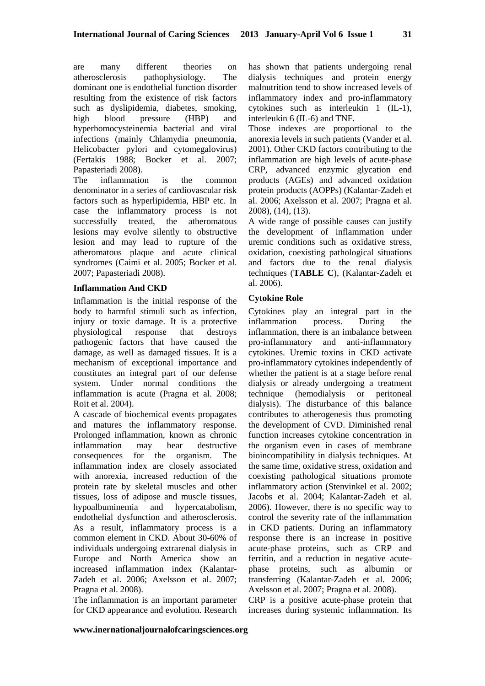are many different theories on atherosclerosis pathophysiology. The dominant one is endothelial function disorder resulting from the existence of risk factors such as dyslipidemia, diabetes, smoking, high blood pressure (HBP) and hyperhomocysteinemia bacterial and viral infections (mainly Chlamydia pneumonia, Helicobacter pylori and cytomegalovirus) (Fertakis 1988; Bocker et al. 2007; Papasteriadi 2008).

The inflammation is the common denominator in a series of cardiovascular risk factors such as hyperlipidemia, HBP etc. In case the inflammatory process is not successfully treated, the atheromatous lesions may evolve silently to obstructive lesion and may lead to rupture of the atheromatous plaque and acute clinical syndromes (Caimi et al. 2005; Bocker et al. 2007; Papasteriadi 2008).

### **Inflammation And CKD**

Inflammation is the initial response of the body to harmful stimuli such as infection, injury or toxic damage. It is a protective physiological response that destroys pathogenic factors that have caused the damage, as well as damaged tissues. It is a mechanism of exceptional importance and constitutes an integral part of our defense system. Under normal conditions the inflammation is acute (Pragna et al. 2008; Roit et al. 2004).

A cascade of biochemical events propagates and matures the inflammatory response. Prolonged inflammation, known as chronic inflammation may bear destructive consequences for the organism. The inflammation index are closely associated with anorexia, increased reduction of the protein rate by skeletal muscles and other tissues, loss of adipose and muscle tissues, hypoalbuminemia and hypercatabolism, endothelial dysfunction and atherosclerosis. As a result, inflammatory process is a common element in CKD. About 30-60% of individuals undergoing extrarenal dialysis in Europe and North America show an increased inflammation index (Kalantar-Zadeh et al. 2006; Axelsson et al. 2007; Pragna et al. 2008).

The inflammation is an important parameter for CKD appearance and evolution. Research has shown that patients undergoing renal dialysis techniques and protein energy malnutrition tend to show increased levels of inflammatory index and pro-inflammatory cytokines such as interleukin 1 (IL-1), interleukin 6 (IL-6) and TNF.

Those indexes are proportional to the anorexia levels in such patients (Vander et al. 2001). Other CKD factors contributing to the inflammation are high levels of acute-phase CRP, advanced enzymic glycation end products (AGEs) and advanced oxidation protein products (AOPPs) (Kalantar-Zadeh et al. 2006; Axelsson et al. 2007; Pragna et al. 2008), (14), (13).

A wide range of possible causes can justify the development of inflammation under uremic conditions such as oxidative stress, oxidation, coexisting pathological situations and factors due to the renal dialysis techniques (**TABLE C**), (Kalantar-Zadeh et al. 2006).

## **Cytokine Role**

Cytokines play an integral part in the inflammation process. During the inflammation, there is an imbalance between pro-inflammatory and anti-inflammatory cytokines. Uremic toxins in CKD activate pro-inflammatory cytokines independently of whether the patient is at a stage before renal dialysis or already undergoing a treatment technique (hemodialysis or peritoneal dialysis). The disturbance of this balance contributes to atherogenesis thus promoting the development of CVD. Diminished renal function increases cytokine concentration in the organism even in cases of membrane bioincompatibility in dialysis techniques. At the same time, oxidative stress, oxidation and coexisting pathological situations promote inflammatory action (Stenvinkel et al. 2002; Jacobs et al. 2004; Kalantar-Zadeh et al. 2006). However, there is no specific way to control the severity rate of the inflammation in CKD patients. During an inflammatory response there is an increase in positive acute-phase proteins, such as CRP and ferritin, and a reduction in negative acutephase proteins, such as albumin or transferring (Kalantar-Zadeh et al. 2006; Axelsson et al. 2007; Pragna et al. 2008).

CRP is a positive acute-phase protein that increases during systemic inflammation. Its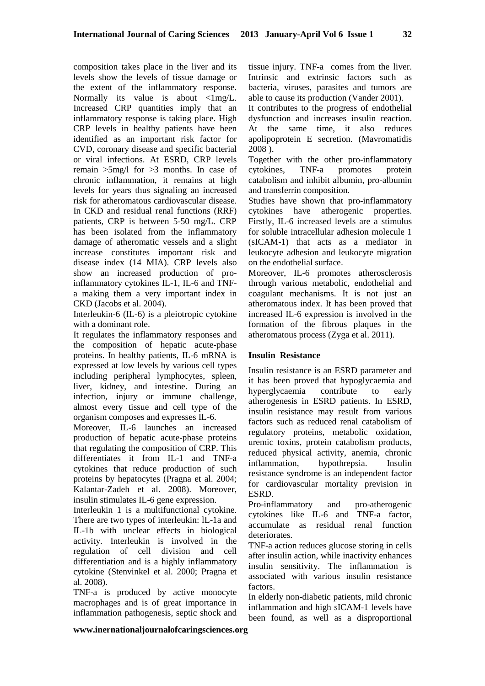composition takes place in the liver and its levels show the levels of tissue damage or the extent of the inflammatory response. Normally its value is about  $\langle 1 \text{mg/L}}$ . Increased CRP quantities imply that an inflammatory response is taking place. High CRP levels in healthy patients have been identified as an important risk factor for CVD, coronary disease and specific bacterial or viral infections. At ESRD, CRP levels remain >5mg/l for >3 months. In case of chronic inflammation, it remains at high levels for years thus signaling an increased risk for atheromatous cardiovascular disease. In CKD and residual renal functions (RRF) patients, CRP is between 5-50 mg/L. CRP has been isolated from the inflammatory damage of atheromatic vessels and a slight increase constitutes important risk and disease index (14 MIA). CRP levels also show an increased production of proinflammatory cytokines IL-1, IL-6 and TNFa making them a very important index in CKD (Jacobs et al. 2004).

Interleukin-6 (IL-6) is a pleiotropic cytokine with a dominant role.

It regulates the inflammatory responses and the composition of hepatic acute-phase proteins. In healthy patients, IL-6 mRNA is expressed at low levels by various cell types including peripheral lymphocytes, spleen, liver, kidney, and intestine. During an infection, injury or immune challenge, almost every tissue and cell type of the organism composes and expresses IL-6.

Moreover, IL-6 launches an increased production of hepatic acute-phase proteins that regulating the composition of CRP. This differentiates it from IL-1 and TNF-a cytokines that reduce production of such proteins by hepatocytes (Pragna et al. 2004; Kalantar-Zadeh et al. 2008). Moreover, insulin stimulates IL-6 gene expression.

Interleukin 1 is a multifunctional cytokine. There are two types of interleukin: lL-1a and IL-1b with unclear effects in biological activity. Interleukin is involved in the regulation of cell division and cell differentiation and is a highly inflammatory cytokine (Stenvinkel et al. 2000; Pragna et al. 2008).

TNF-a is produced by active monocyte macrophages and is of great importance in inflammation pathogenesis, septic shock and

tissue injury. TNF-a comes from the liver. Intrinsic and extrinsic factors such as bacteria, viruses, parasites and tumors are able to cause its production (Vander 2001).

It contributes to the progress of endothelial dysfunction and increases insulin reaction. At the same time, it also reduces apolipoprotein E secretion. (Mavromatidis 2008 ).

Together with the other pro-inflammatory cytokines, TNF-a promotes protein catabolism and inhibit albumin, pro-albumin and transferrin composition.

Studies have shown that pro-inflammatory cytokines have atherogenic properties. Firstly, IL-6 increased levels are a stimulus for soluble intracellular adhesion molecule 1 (sICAM-1) that acts as a mediator in leukocyte adhesion and leukocyte migration on the endothelial surface.

Moreover, IL-6 promotes atherosclerosis through various metabolic, endothelial and coagulant mechanisms. It is not just an atheromatous index. It has been proved that increased IL-6 expression is involved in the formation of the fibrous plaques in the atheromatous process (Zyga et al. 2011).

### **Insulin Resistance**

Insulin resistance is an ESRD parameter and it has been proved that hypoglycaemia and hyperglycaemia contribute to early atherogenesis in ESRD patients. In ESRD, insulin resistance may result from various factors such as reduced renal catabolism of regulatory proteins, metabolic oxidation, uremic toxins, protein catabolism products, reduced physical activity, anemia, chronic inflammation, hypothrepsia. Insulin resistance syndrome is an independent factor for cardiovascular mortality prevision in ESRD.

Pro-inflammatory and pro-atherogenic cytokines like IL-6 and TNF-a factor, accumulate as residual renal function deteriorates.

TNF-a action reduces glucose storing in cells after insulin action, while inactivity enhances insulin sensitivity. The inflammation is associated with various insulin resistance factors.

In elderly non-diabetic patients, mild chronic inflammation and high sICAM-1 levels have been found, as well as a disproportional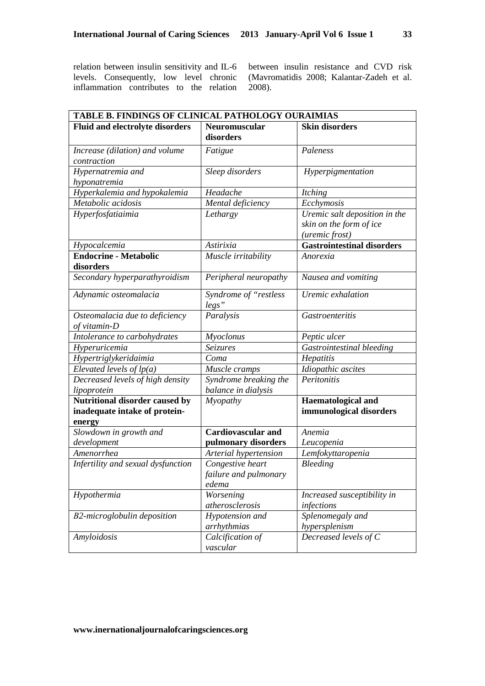relation between insulin sensitivity and IL-6 levels. Consequently, low level chronic inflammation contributes to the relation between insulin resistance and CVD risk (Mavromatidis 2008; Kalantar-Zadeh et al. 2008).

| TABLE B. FINDINGS OF CLINICAL PATHOLOGY OURAIMIAS |                                                    |                                                                            |
|---------------------------------------------------|----------------------------------------------------|----------------------------------------------------------------------------|
| <b>Fluid and electrolyte disorders</b>            | <b>Neuromuscular</b><br>disorders                  | <b>Skin disorders</b>                                                      |
| Increase (dilation) and volume<br>contraction     | Fatigue                                            | Paleness                                                                   |
| Hypernatremia and<br>hyponatremia                 | Sleep disorders                                    | Hyperpigmentation                                                          |
| Hyperkalemia and hypokalemia                      | Headache                                           | <b>Itching</b>                                                             |
| Metabolic acidosis                                | Mental deficiency                                  | Ecchymosis                                                                 |
| Hyperfosfatiaimia                                 | Lethargy                                           | Uremic salt deposition in the<br>skin on the form of ice<br>(uremic frost) |
| Hypocalcemia                                      | Astirixia                                          | <b>Gastrointestinal disorders</b>                                          |
| <b>Endocrine - Metabolic</b><br>disorders         | Muscle irritability                                | Anorexia                                                                   |
| Secondary hyperparathyroidism                     | Peripheral neuropathy                              | Nausea and vomiting                                                        |
| Adynamic osteomalacia                             | Syndrome of "restless<br>legs"                     | Uremic exhalation                                                          |
| Osteomalacia due to deficiency<br>of vitamin-D    | Paralysis                                          | <b>Gastroenteritis</b>                                                     |
| Intolerance to carbohydrates                      | Myoclonus                                          | Peptic ulcer                                                               |
| Hyperuricemia                                     | Seizures                                           | Gastrointestinal bleeding                                                  |
| Hypertriglykeridaimia                             | Coma                                               | Hepatitis                                                                  |
| Elevated levels of $lp(a)$                        | Muscle cramps                                      | Idiopathic ascites                                                         |
| Decreased levels of high density<br>lipoprotein   | Syndrome breaking the<br>balance in dialysis       | Peritonitis                                                                |
| Nutritional disorder caused by                    | Myopathy                                           | <b>Haematological and</b>                                                  |
| inadequate intake of protein-<br>energy           |                                                    | immunological disorders                                                    |
| Slowdown in growth and                            | <b>Cardiovascular and</b>                          | Anemia                                                                     |
| development                                       | pulmonary disorders                                | Leucopenia                                                                 |
| Amenorrhea                                        | Arterial hypertension                              | Lemfokyttaropenia                                                          |
| Infertility and sexual dysfunction                | Congestive heart<br>failure and pulmonary<br>edema | Bleeding                                                                   |
| Hypothermia                                       | Worsening<br>atherosclerosis                       | Increased susceptibility in<br>infections                                  |
| B2-microglobulin deposition                       | Hypotension and<br>arrhythmias                     | Splenomegaly and<br>hypersplenism                                          |
| Amyloidosis                                       | Calcification of<br>vascular                       | Decreased levels of C                                                      |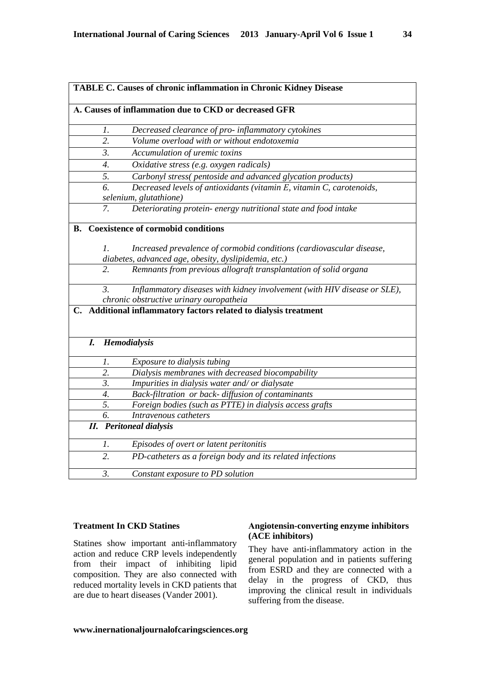|    | TABLE C. Causes of chronic inflammation in Chronic Kidney Disease<br>A. Causes of inflammation due to CKD or decreased GFR |                                                                                                |  |  |  |
|----|----------------------------------------------------------------------------------------------------------------------------|------------------------------------------------------------------------------------------------|--|--|--|
|    |                                                                                                                            |                                                                                                |  |  |  |
|    | Ι.                                                                                                                         | Decreased clearance of pro-inflammatory cytokines                                              |  |  |  |
|    | 2.                                                                                                                         | Volume overload with or without endotoxemia                                                    |  |  |  |
|    | 3.                                                                                                                         | Accumulation of uremic toxins                                                                  |  |  |  |
|    | 4.                                                                                                                         | Oxidative stress (e.g. oxygen radicals)                                                        |  |  |  |
|    | 5.                                                                                                                         | Carbonyl stress(pentoside and advanced glycation products)                                     |  |  |  |
|    | $\overline{6}$                                                                                                             | Decreased levels of antioxidants (vitamin E, vitamin C, carotenoids,<br>selenium, glutathione) |  |  |  |
|    | 7.                                                                                                                         | Deteriorating protein- energy nutritional state and food intake                                |  |  |  |
| В. |                                                                                                                            | <b>Coexistence of cormobid conditions</b>                                                      |  |  |  |
|    | 1.                                                                                                                         | Increased prevalence of cormobid conditions (cardiovascular disease,                           |  |  |  |
|    |                                                                                                                            | diabetes, advanced age, obesity, dyslipidemia, etc.)                                           |  |  |  |
|    | 2.                                                                                                                         | Remnants from previous allograft transplantation of solid organa                               |  |  |  |
|    | $\mathcal{E}$                                                                                                              | Inflammatory diseases with kidney involvement (with HIV disease or SLE),                       |  |  |  |
|    |                                                                                                                            | chronic obstructive urinary ouropatheia                                                        |  |  |  |
|    |                                                                                                                            | C. Additional inflammatory factors related to dialysis treatment                               |  |  |  |
|    | $\bm{I}$ .                                                                                                                 | Hemodialysis                                                                                   |  |  |  |
|    | 1.                                                                                                                         | Exposure to dialysis tubing                                                                    |  |  |  |
|    | $\overline{2}$ .                                                                                                           | Dialysis membranes with decreased biocompability                                               |  |  |  |
|    | $\overline{3}$ .                                                                                                           | Impurities in dialysis water and/ or dialysate                                                 |  |  |  |
|    | $\overline{4}$ .                                                                                                           | Back-filtration or back- diffusion of contaminants                                             |  |  |  |
|    | 5.                                                                                                                         | Foreign bodies (such as PTTE) in dialysis access grafts                                        |  |  |  |
|    | 6.                                                                                                                         | Intravenous catheters                                                                          |  |  |  |
|    |                                                                                                                            | <b>II.</b> Peritoneal dialysis                                                                 |  |  |  |
|    | 1.                                                                                                                         | Episodes of overt or latent peritonitis                                                        |  |  |  |
|    | 2.                                                                                                                         | PD-catheters as a foreign body and its related infections                                      |  |  |  |
|    | $\mathfrak{Z}$ .                                                                                                           | Constant exposure to PD solution                                                               |  |  |  |

### **Treatment In CKD Statines**

Statines show important anti-inflammatory action and reduce CRP levels independently from their impact of inhibiting lipid composition. They are also connected with reduced mortality levels in CKD patients that are due to heart diseases (Vander 2001).

### **Αngiotensin-converting enzyme inhibitors (ACE inhibitors)**

They have anti-inflammatory action in the general population and in patients suffering from ESRD and they are connected with a delay in the progress of CKD, thus improving the clinical result in individuals suffering from the disease.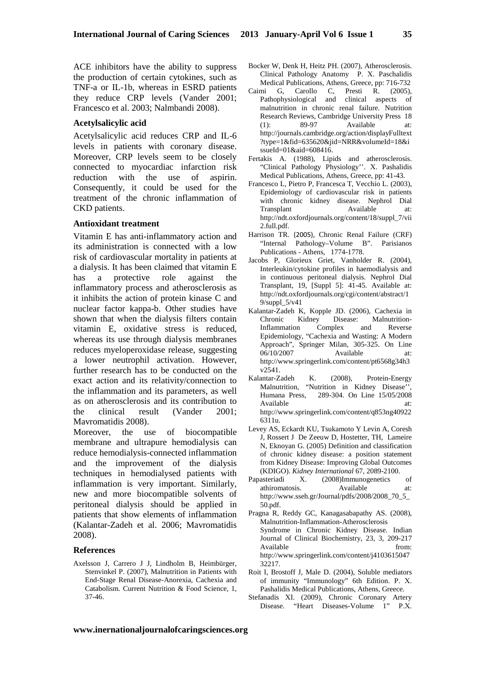ACE inhibitors have the ability to suppress the production of certain cytokines, such as TNF-a or IL-1b, whereas in ESRD patients they reduce CRP levels (Vander 2001; Francesco et al. 2003; Nalmbandi 2008).

#### **Acetylsalicylic acid**

Acetylsalicylic acid reduces CRP and IL-6 levels in patients with coronary disease. Moreover, CRP levels seem to be closely connected to myocardiac infarction risk reduction with the use of aspirin. Consequently, it could be used for the treatment of the chronic inflammation of CKD patients.

#### **Antioxidant treatment**

Vitamin E has anti-inflammatory action and its administration is connected with a low risk of cardiovascular mortality in patients at a dialysis. It has been claimed that vitamin E has a protective role against the inflammatory process and atherosclerosis as it inhibits the action of protein kinase C and nuclear factor kappa-b. Other studies have shown that when the dialysis filters contain vitamin E, oxidative stress is reduced, whereas its use through dialysis membranes reduces myeloperoxidase release, suggesting a lower neutrophil activation. However, further research has to be conducted on the exact action and its relativity/connection to the inflammation and its parameters, as well as on atherosclerosis and its contribution to the clinical result (Vander 2001; Mavromatidis 2008).

Moreover, the use of biocompatible membrane and ultrapure hemodialysis can reduce hemodialysis-connected inflammation and the improvement of the dialysis techniques in hemodialysed patients with inflammation is very important. Similarly, new and more biocompatible solvents of peritoneal dialysis should be applied in patients that show elements of inflammation (Kalantar-Zadeh et al. 2006; Mavromatidis 2008).

#### **References**

Axelsson J, Carrero J J, Lindholm B, Heimbürger, Stenvinkel P. (2007), Malnutrition in Patients with End-Stage Renal Disease-Anorexia, Cachexia and Catabolism. Current Nutrition & Food Science, 1, 37-46.

- Bocker W, Denk H, Heitz PH. (2007), Atherosclerosis. Clinical Pathology Anatomy P. Χ. Paschalidis Medical Publications, Athens, Greece, pp: 716-732
- Caimi G, Carollo C, Presti R. (2005), Pathophysiological and clinical aspects of malnutrition in chronic renal failure. Nutrition Research Reviews, Cambridge University Press 18 (1): 89-97 Available at: http://journals.cambridge.org/action/displayFulltext ?type=1&fid=635620&jid=NRR&volumeId=18&i ssueId=01&aid=608416.
- Fertakis A. (1988), Lipids and atherosclerosis. "Clinical Pathology Physiology''. Χ. Pashalidis Medical Publications, Athens, Greece, pp: 41-43.
- Francesco L, Pietro P, Francesca T, Vecchio L. (2003), Epidemiology of cardiovascular risk in patients with chronic kidney disease. Nephrol Dial Transplant Available at: http://ndt.oxfordjournals.org/content/18/suppl\_7/vii 2.full.pdf.
- Harrison TR. (2005), Chronic Renal Failure (CRF) "Internal Pathology–Volume B". Parisianos Publications - Athens, 1774-1778.
- Jacobs P, Glorieux Griet, Vanholder R. (2004), Interleukin/cytokine profiles in haemodialysis and in continuous peritoneal dialysis. Nephrol Dial Transplant, 19, [Suppl 5]: 41-45. Available at: http://ndt.oxfordjournals.org/cgi/content/abstract/1 9/suppl\_5/v41
- Kalantar-Zadeh K, Kopple JD. (2006), Cachexia in Chronic Kidney Disease: Malnutrition-Inflammation Complex and Reverse Epidemiology, "Cachexia and Wasting: A Modern Approach", Springer Milan, 305-325. On Line 06/10/2007 Available at: http://www.springerlink.com/content/pt6568g34h3 v2541.
- Kalantar-Zadeh K. (2008), Protein-Energy Malnutrition, "Nutrition in Kidney Disease'', Humana Press, 289-304. On Line 15/05/2008 Available at: at: http://www.springerlink.com/content/q853ng40922 6311u.
- Levey AS, Eckardt KU, Tsukamoto Y Levin A, Coresh J, Rossert J De Zeeuw D, Hostetter, TH, Lameire N, Eknoyan G. (2005) Definition and classification of chronic kidney disease: a position statement from Kidney Disease: Improving Global Outcomes (KDIGO). *Kidney International* 67, 2089-2100.
- Papasteriadi X. (2008)Immunogenetics of athiromatosis. Available at: http://www.sseh.gr/Journal/pdfs/2008/2008\_70\_5\_ 50.pdf.
- Pragna R, Reddy GC, Kanagasabapathy AS. (2008), Malnutrition-Inflammation-Atherosclerosis Syndrome in Chronic Kidney Disease. Indian Journal of Clinical Biochemistry, 23, 3, 209-217 Available from: http://www.springerlink.com/content/j4103615047 32217.
- Roit I, Brostoff J, Male D. (2004), Soluble mediators of immunity "Immunology" 6th Edition. P. Χ. Pashalidis Medical Publications, Athens, Greece.
- Stefanadis ΧΙ. (2009), Chronic Coronary Artery Disease. "Heart Diseases-Volume 1" P.Χ.